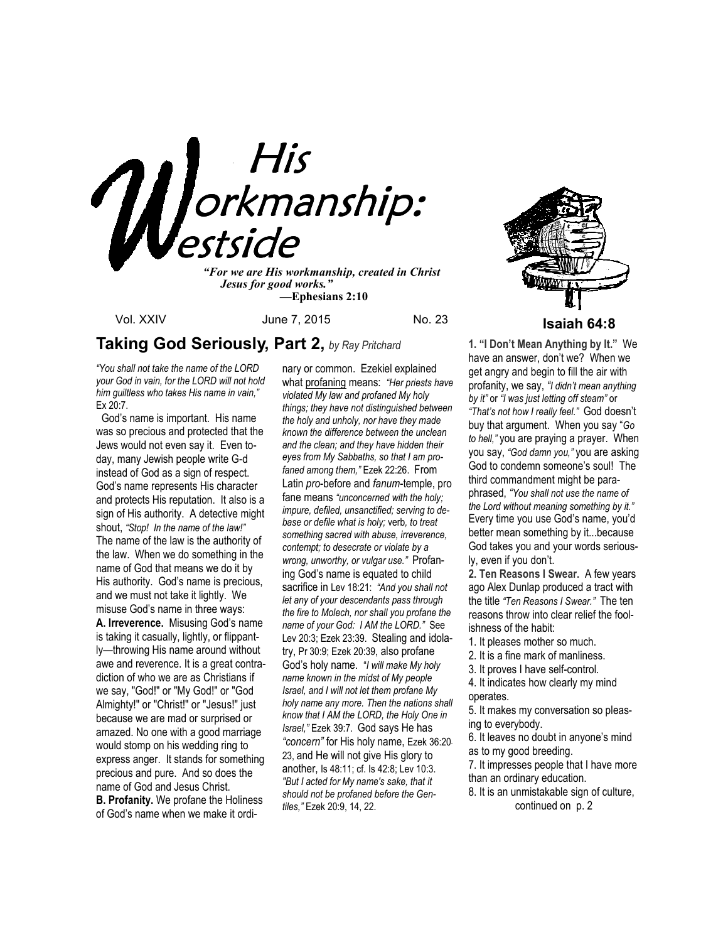

*"For we are His workmanship, created in Christ Jesus for good works." —***Ephesians 2:10**

## **Taking God Seriously, Part 2,** *by Ray Pritchard*

*"You shall not take the name of the LORD your God in vain, for the LORD will not hold him guiltless who takes His name in vain,"*  Ex 20:7.

 God's name is important. His name was so precious and protected that the Jews would not even say it. Even today, many Jewish people write G-d instead of God as a sign of respect. God's name represents His character and protects His reputation. It also is a sign of His authority. A detective might shout, *"Stop! In the name of the law!"*  The name of the law is the authority of the law. When we do something in the name of God that means we do it by His authority. God's name is precious, and we must not take it lightly. We misuse God's name in three ways: **A. Irreverence.** Misusing God's name is taking it casually, lightly, or flippantly—throwing His name around without awe and reverence. It is a great contradiction of who we are as Christians if we say, "God!" or "My God!" or "God Almighty!" or "Christ!" or "Jesus!" just because we are mad or surprised or amazed. No one with a good marriage would stomp on his wedding ring to express anger. It stands for something precious and pure. And so does the name of God and Jesus Christ. **B. Profanity.** We profane the Holiness of God's name when we make it ordinary or common. Ezekiel explained what profaning means: *"Her priests have violated My law and profaned My holy things; they have not distinguished between the holy and unholy, nor have they made known the difference between the unclean and the clean; and they have hidden their eyes from My Sabbaths, so that I am profaned among them,"* Ezek 22:26. From Latin *pro*-before and *fanum*-temple, pro fane means *"unconcerned with the holy; impure, defiled, unsanctified; serving to debase or defile what is holy;* verb*, to treat something sacred with abuse, irreverence, contempt; to desecrate or violate by a wrong, unworthy, or vulgar use."* Profaning God's name is equated to child sacrifice in Lev 18:21: *"And you shall not let any of your descendants pass through the fire to Molech, nor shall you profane the name of your God: I AM the LORD."* See Lev 20:3; Ezek 23:39. Stealing and idolatry, Pr 30:9; Ezek 20:39, also profane God's holy name. "*I will make My holy name known in the midst of My people Israel, and I will not let them profane My holy name any more. Then the nations shall know that I AM the LORD, the Holy One in Israel,"* Ezek 39:7. God says He has *"concern"* for His holy name, Ezek 36:20- 23, and He will not give His glory to another, Is 48:11; cf. Is 42:8; Lev 10:3. *"But I acted for My name's sake, that it should not be profaned before the Gentiles,"* Ezek 20:9, 14, 22.



Vol. XXIV **June 7, 2015** No. 23 **Isaiah 64:8** 

**1. "I Don't Mean Anything by It."** We have an answer, don't we? When we get angry and begin to fill the air with profanity, we say, *"I didn't mean anything by it"* or *"I was just letting off steam"* or *"That's not how I really feel."* God doesn't buy that argument. When you say "*Go to hell,"* you are praying a prayer. When you say, *"God damn you,"* you are asking God to condemn someone's soul!The third commandment might be paraphrased, *"You shall not use the name of the Lord without meaning something by it."* Every time you use God's name, you'd better mean something by it...because God takes you and your words seriously, even if you don't.

**2. Ten Reasons I Swear.** A few years ago Alex Dunlap produced a tract with the title *"Ten Reasons I Swear."* The ten reasons throw into clear relief the foolishness of the habit:

1. It pleases mother so much.

2. It is a fine mark of manliness.

3. It proves I have self-control.

4. It indicates how clearly my mind operates.

5. It makes my conversation so pleasing to everybody.

6. It leaves no doubt in anyone's mind as to my good breeding.

7. It impresses people that I have more than an ordinary education.

8. It is an unmistakable sign of culture, continued on p. 2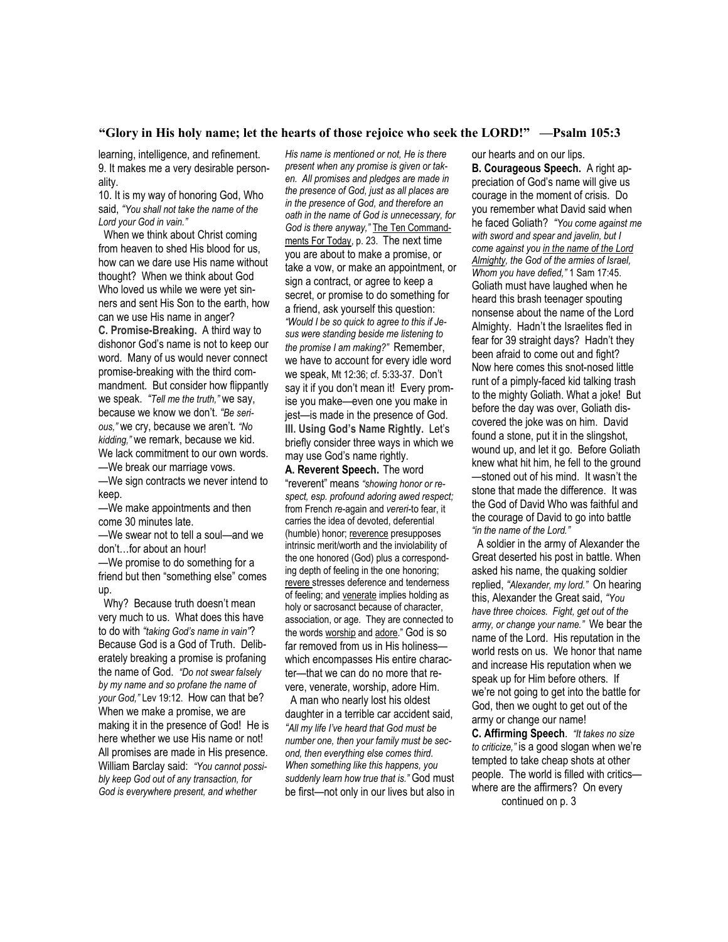#### **"Glory in His holy name; let the hearts of those rejoice who seek the LORD!" —Psalm 105:3**

learning, intelligence, and refinement. 9. It makes me a very desirable personality.

10. It is my way of honoring God, Who said, *"You shall not take the name of the Lord your God in vain."* 

 When we think about Christ coming from heaven to shed His blood for us, how can we dare use His name without thought? When we think about God Who loved us while we were yet sinners and sent His Son to the earth, how can we use His name in anger? **C. Promise-Breaking.** A third way to dishonor God's name is not to keep our word. Many of us would never connect promise-breaking with the third commandment. But consider how flippantly we speak. *"Tell me the truth,"* we say, because we know we don't. *"Be serious,"* we cry, because we aren't. *"No kidding,"* we remark, because we kid. We lack commitment to our own words. —We break our marriage vows.

—We sign contracts we never intend to keep.

—We make appointments and then come 30 minutes late.

—We swear not to tell a soul—and we don't…for about an hour! —We promise to do something for a

friend but then "something else" comes up.

 Why? Because truth doesn't mean very much to us. What does this have to do with *"taking God's name in vain"*? Because God is a God of Truth. Deliberately breaking a promise is profaning the name of God. *"Do not swear falsely by my name and so profane the name of your God,"* Lev 19:12. How can that be? When we make a promise, we are making it in the presence of God! He is here whether we use His name or not! All promises are made in His presence. William Barclay said: *"You cannot possibly keep God out of any transaction, for God is everywhere present, and whether* 

*His name is mentioned or not, He is there present when any promise is given or taken. All promises and pledges are made in the presence of God, just as all places are in the presence of God, and therefore an oath in the name of God is unnecessary, for God is there anyway,"* The Ten Commandments For Today, p. 23. The next time you are about to make a promise, or take a vow, or make an appointment, or sign a contract, or agree to keep a secret, or promise to do something for a friend, ask yourself this question: *"Would I be so quick to agree to this if Jesus were standing beside me listening to the promise I am making?"* Remember, we have to account for every idle word we speak, Mt 12:36; cf. 5:33-37. Don't say it if you don't mean it! Every promise you make—even one you make in jest—is made in the presence of God. **III. Using God's Name Rightly.** Let's briefly consider three ways in which we may use God's name rightly.

**A. Reverent Speech.** The word "reverent" means *"showing honor or respect, esp. profound adoring awed respect;*  from French *re*-again and *vereri*-to fear, it carries the idea of devoted, deferential (humble) honor; reverence presupposes intrinsic merit/worth and the inviolability of the one honored (God) plus a corresponding depth of feeling in the one honoring; revere stresses deference and tenderness of feeling; and venerate implies holding as holy or sacrosanct because of character, association, or age. They are connected to the words worship and adore." God is so far removed from us in His holiness which encompasses His entire character—that we can do no more that revere, venerate, worship, adore Him.

 A man who nearly lost his oldest daughter in a terrible car accident said, *"All my life I've heard that God must be number one, then your family must be second, then everything else comes third. When something like this happens, you suddenly learn how true that is."* God must be first—not only in our lives but also in our hearts and on our lips. **B. Courageous Speech.** A right appreciation of God's name will give us courage in the moment of crisis. Do you remember what David said when he faced Goliath? *"You come against me with sword and spear and javelin, but I come against you in the name of the Lord Almighty, the God of the armies of Israel, Whom you have defied,"* 1 Sam 17:45. Goliath must have laughed when he heard this brash teenager spouting nonsense about the name of the Lord Almighty. Hadn't the Israelites fled in fear for 39 straight days? Hadn't they been afraid to come out and fight? Now here comes this snot-nosed little runt of a pimply-faced kid talking trash to the mighty Goliath. What a joke! But before the day was over, Goliath discovered the joke was on him. David found a stone, put it in the slingshot, wound up, and let it go. Before Goliath knew what hit him, he fell to the ground —stoned out of his mind. It wasn't the stone that made the difference. It was the God of David Who was faithful and the courage of David to go into battle *"in the name of the Lord."* 

 A soldier in the army of Alexander the Great deserted his post in battle. When asked his name, the quaking soldier replied, *"Alexander, my lord."* On hearing this, Alexander the Great said, *"You have three choices. Fight, get out of the army, or change your name."* We bear the name of the Lord. His reputation in the world rests on us. We honor that name and increase His reputation when we speak up for Him before others. If we're not going to get into the battle for God, then we ought to get out of the army or change our name!

**C. Affirming Speech**. *"It takes no size to criticize,"* is a good slogan when we're tempted to take cheap shots at other people. The world is filled with critics where are the affirmers? On every continued on p. 3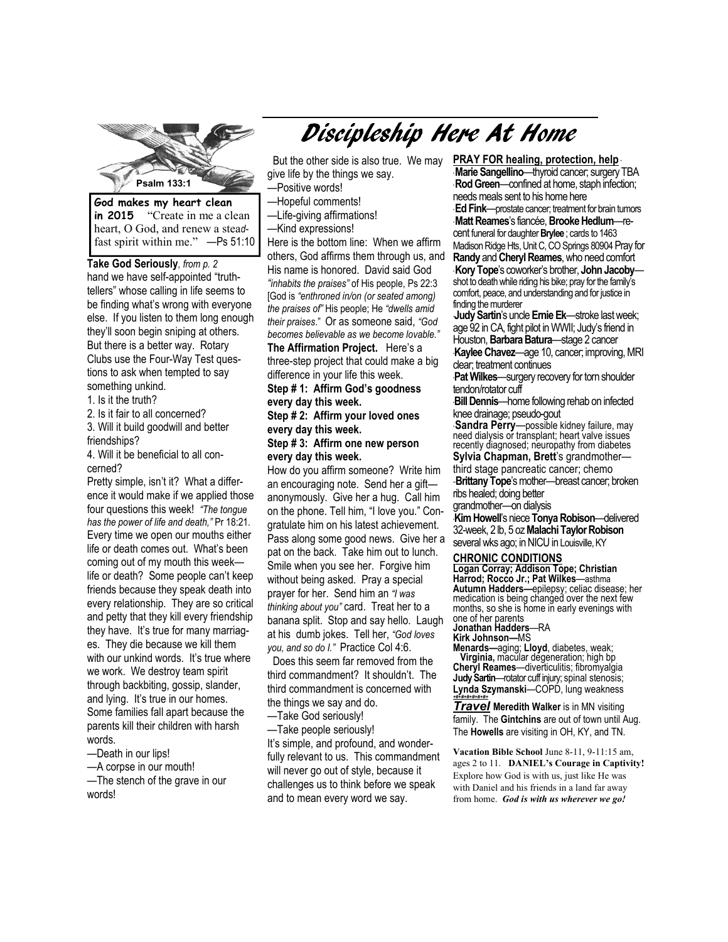

**in 2015** "Create in me a clean heart, O God, and renew a stea*d*fast spirit within me." —Ps 51:10

**Take God Seriously***, from p. 2*  hand we have self-appointed "truthtellers" whose calling in life seems to be finding what's wrong with everyone else. If you listen to them long enough they'll soon begin sniping at others. But there is a better way. Rotary Clubs use the Four-Way Test questions to ask when tempted to say something unkind.

1. Is it the truth?

2. Is it fair to all concerned?

3. Will it build goodwill and better friendships?

4. Will it be beneficial to all concerned?

Pretty simple, isn't it? What a difference it would make if we applied those four questions this week! *"The tongue has the power of life and death,"* Pr 18:21. Every time we open our mouths either life or death comes out. What's been coming out of my mouth this week life or death? Some people can't keep friends because they speak death into every relationship. They are so critical and petty that they kill every friendship they have. It's true for many marriages. They die because we kill them with our unkind words. It's true where we work. We destroy team spirit through backbiting, gossip, slander, and lying. It's true in our homes. Some families fall apart because the parents kill their children with harsh words.

—Death in our lips!

—A corpse in our mouth! —The stench of the grave in our words!

# Discipleship Here At Home

 But the other side is also true. We may give life by the things we say. —Positive words!

- —Hopeful comments!
- —Life-giving affirmations!
- —Kind expressions!

Here is the bottom line: When we affirm others, God affirms them through us, and His name is honored. David said God *"inhabits the praises"* of His people, Ps 22:3 [God is *"enthroned in/on (or seated among) the praises of"* His people; He *"dwells amid their praises*." Or as someone said, *"God becomes believable as we become lovable."* 

**The Affirmation Project.** Here's a three-step project that could make a big difference in your life this week.

#### **Step # 1: Affirm God's goodness every day this week.**

### **Step # 2: Affirm your loved ones every day this week.**

#### **Step # 3: Affirm one new person every day this week.**

How do you affirm someone? Write him an encouraging note. Send her a gift anonymously. Give her a hug. Call him on the phone. Tell him, "I love you." Congratulate him on his latest achievement. Pass along some good news. Give her a pat on the back. Take him out to lunch. Smile when you see her. Forgive him without being asked. Pray a special prayer for her. Send him an *"I was thinking about you"* card. Treat her to a banana split. Stop and say hello. Laugh at his dumb jokes. Tell her, *"God loves you, and so do I."* Practice Col 4:6.

 Does this seem far removed from the third commandment? It shouldn't. The third commandment is concerned with the things we say and do.

—Take God seriously!

—Take people seriously! It's simple, and profound, and wonderfully relevant to us. This commandment will never go out of style, because it challenges us to think before we speak and to mean every word we say.

**Psalm 133:1 Randy** and **Cheryl Reames**, who need comfort **PRAY FOR healing, protection, help** \* **Marie Sangellino**—thyroid cancer; surgery TBA **Rod Green**—confined at home, staph infection; needs meals sent to his home here \* **Ed Fink**—prostate cancer; treatment for brain tumors \* **Matt Reames**'s fiancée, **Brooke Hedlum**—recent funeral for daughter **Brylee** ; cards to 1463 Madison Ridge Hts, Unit C, CO Springs 80904 Pray for \* **Kory Tope**'s coworker's brother, **John Jacoby** shot to death while riding his bike; pray for the family's comfort, peace, and understanding and for justice in finding the murderer

\***Judy Sartin**'s uncle **Ernie Ek**—stroke last week; age 92 in CA, fight pilot in WWII; Judy's friend in Houston, **Barbara Batura**—stage 2 cancer \***Kaylee Chavez**—age 10, cancer; improving, MRI clear; treatment continues

\***Pat Wilkes**—surgery recovery for torn shoulder tendon/rotator cuff

\***Bill Dennis**—home following rehab on infected knee drainage; pseudo-gout

\* **Sandra Perry**—possible kidney failure, may need dialysis or transplant; heart valve issues recently diagnosed; neuropathy from diabetes **Sylvia Chapman, Brett**'s grandmother third stage pancreatic cancer; chemo

-**Brittany Tope**'s mother---breast cancer; broken ribs healed; doing better

grandmother—on dialysis

\***Kim Howell**'s niece **Tonya Robison**—delivered 32-week, 2 lb, 5 oz **Malachi Taylor Robison**  several wks ago; in NICU in Louisville, KY

#### **CHRONIC CONDITIONS**

**Logan Corray; Addison Tope; Christian Harrod; Rocco Jr.; Pat Wilkes**—asthma **Autumn Hadders—**epilepsy; celiac disease; her medication is being changed over the next few months, so she is home in early evenings with one of her parents

**Jonathan Hadders**—RA

**Kirk Johnson—**MS

**Menards—**aging; **Lloyd**, diabetes, weak; **Virginia,** macular degeneration; high bp **Cheryl Reames**—diverticulitis; fibromyalgia **Judy Sartin**—rotator cuff injury; spinal stenosis; **Lynda Szymanski**—COPD, lung weakness *+#+#+#+#+#+#+*

*Travel* Meredith Walker is in MN visiting family. The **Gintchins** are out of town until Aug. The **Howells** are visiting in OH, KY, and TN.

**Vacation Bible School** June 8-11, 9-11:15 am, ages 2 to 11. **DANIEL's Courage in Captivity!**  Explore how God is with us, just like He was with Daniel and his friends in a land far away from home. *God is with us wherever we go!*